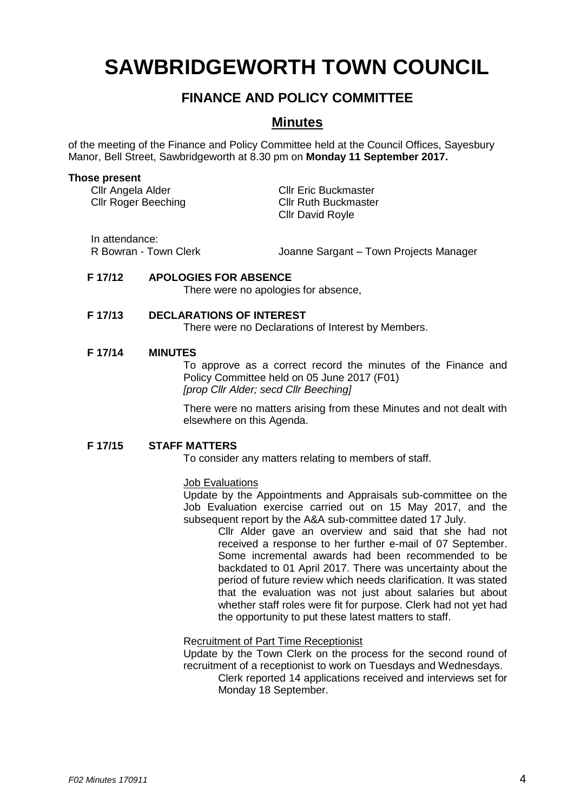# **SAWBRIDGEWORTH TOWN COUNCIL**

## **FINANCE AND POLICY COMMITTEE**

## **Minutes**

of the meeting of the Finance and Policy Committee held at the Council Offices, Sayesbury Manor, Bell Street, Sawbridgeworth at 8.30 pm on **Monday 11 September 2017.**

#### **Those present**

| Cllr Angela Alder<br><b>Cllr Roger Beeching</b> | <b>Cllr Eric Buckmaster</b><br><b>Cllr Ruth Buckmaster</b><br><b>CIIr David Royle</b> |
|-------------------------------------------------|---------------------------------------------------------------------------------------|
|                                                 |                                                                                       |

In attendance:

R Bowran - Town Clerk Joanne Sargant – Town Projects Manager

#### **F 17/12 APOLOGIES FOR ABSENCE**

There were no apologies for absence,

#### **F 17/13 DECLARATIONS OF INTEREST**

There were no Declarations of Interest by Members.

#### **F 17/14 MINUTES**

To approve as a correct record the minutes of the Finance and Policy Committee held on 05 June 2017 (F01) *[prop Cllr Alder; secd Cllr Beeching]*

There were no matters arising from these Minutes and not dealt with elsewhere on this Agenda.

#### **F 17/15 STAFF MATTERS**

To consider any matters relating to members of staff.

#### Job Evaluations

Update by the Appointments and Appraisals sub-committee on the Job Evaluation exercise carried out on 15 May 2017, and the subsequent report by the A&A sub-committee dated 17 July.

> Cllr Alder gave an overview and said that she had not received a response to her further e-mail of 07 September. Some incremental awards had been recommended to be backdated to 01 April 2017. There was uncertainty about the period of future review which needs clarification. It was stated that the evaluation was not just about salaries but about whether staff roles were fit for purpose. Clerk had not yet had the opportunity to put these latest matters to staff.

#### Recruitment of Part Time Receptionist

Update by the Town Clerk on the process for the second round of recruitment of a receptionist to work on Tuesdays and Wednesdays.

Clerk reported 14 applications received and interviews set for Monday 18 September.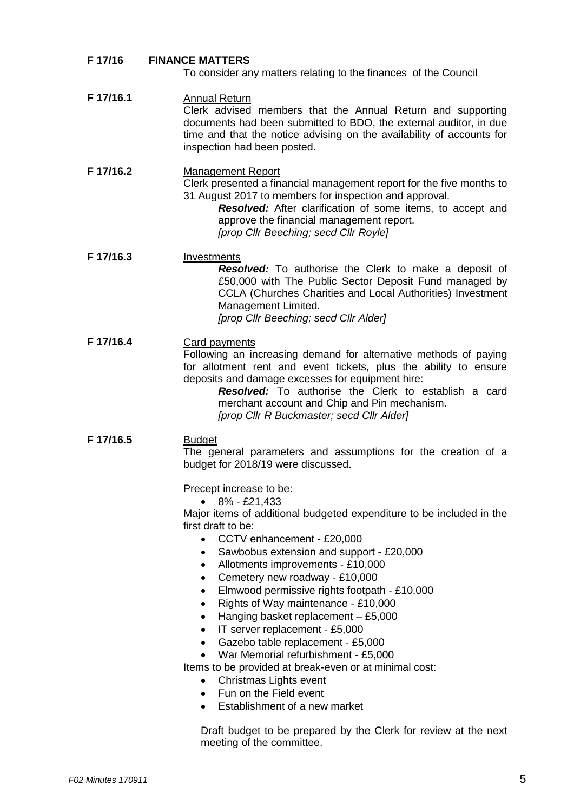## **F 17/16 FINANCE MATTERS**

To consider any matters relating to the finances of the Council

| F 17/16.1 | <b>Annual Return</b><br>Clerk advised members that the Annual Return and supporting<br>documents had been submitted to BDO, the external auditor, in due<br>time and that the notice advising on the availability of accounts for<br>inspection had been posted.                                                                                                                                                                                                                                                                                                                                                                                                                                                                                                                                                                                                                                        |
|-----------|---------------------------------------------------------------------------------------------------------------------------------------------------------------------------------------------------------------------------------------------------------------------------------------------------------------------------------------------------------------------------------------------------------------------------------------------------------------------------------------------------------------------------------------------------------------------------------------------------------------------------------------------------------------------------------------------------------------------------------------------------------------------------------------------------------------------------------------------------------------------------------------------------------|
| F 17/16.2 | <b>Management Report</b><br>Clerk presented a financial management report for the five months to<br>31 August 2017 to members for inspection and approval.<br>Resolved: After clarification of some items, to accept and<br>approve the financial management report.<br>[prop Cllr Beeching; secd Cllr Royle]                                                                                                                                                                                                                                                                                                                                                                                                                                                                                                                                                                                           |
| F 17/16.3 | Investments<br><b>Resolved:</b> To authorise the Clerk to make a deposit of<br>£50,000 with The Public Sector Deposit Fund managed by<br>CCLA (Churches Charities and Local Authorities) Investment<br>Management Limited.<br>[prop Cllr Beeching; secd Cllr Alder]                                                                                                                                                                                                                                                                                                                                                                                                                                                                                                                                                                                                                                     |
| F 17/16.4 | <b>Card payments</b><br>Following an increasing demand for alternative methods of paying<br>for allotment rent and event tickets, plus the ability to ensure<br>deposits and damage excesses for equipment hire:<br>Resolved: To authorise the Clerk to establish a card<br>merchant account and Chip and Pin mechanism.<br>[prop Cllr R Buckmaster; secd Cllr Alder]                                                                                                                                                                                                                                                                                                                                                                                                                                                                                                                                   |
| F 17/16.5 | <b>Budget</b><br>The general parameters and assumptions for the creation of a<br>budget for 2018/19 were discussed.<br>Precept increase to be:<br>8% - £21,433<br>Major items of additional budgeted expenditure to be included in the<br>first draft to be:<br>CCTV enhancement - £20,000<br>Sawbobus extension and support - £20,000<br>٠<br>Allotments improvements - £10,000<br>$\bullet$<br>Cemetery new roadway - £10,000<br>٠<br>Elmwood permissive rights footpath - £10,000<br>٠<br>Rights of Way maintenance - £10,000<br>٠<br>Hanging basket replacement - £5,000<br>٠<br>IT server replacement - £5,000<br>$\bullet$<br>Gazebo table replacement - £5,000<br>٠<br>War Memorial refurbishment - £5,000<br>$\bullet$<br>Items to be provided at break-even or at minimal cost:<br>Christmas Lights event<br>$\bullet$<br>Fun on the Field event<br>$\bullet$<br>Establishment of a new market |
|           | Draft budget to be prepared by the Clerk for review at the next                                                                                                                                                                                                                                                                                                                                                                                                                                                                                                                                                                                                                                                                                                                                                                                                                                         |

meeting of the committee.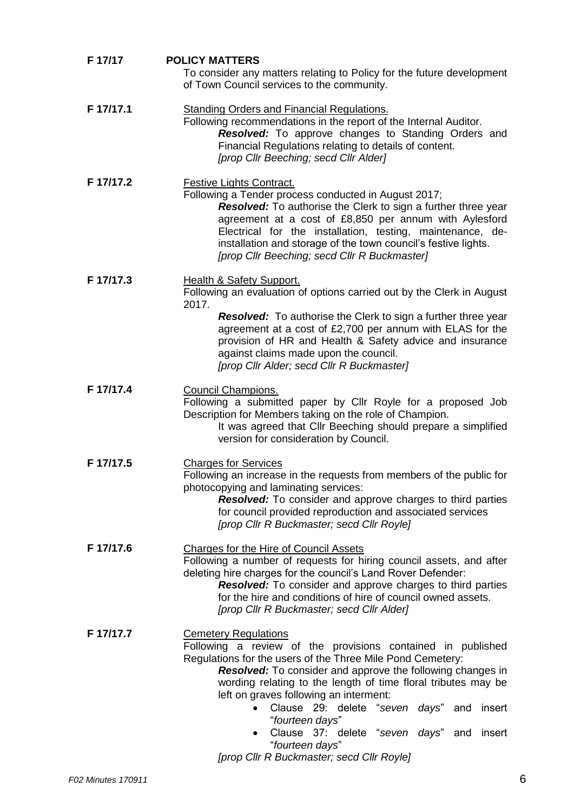| F 17/17   | <b>POLICY MATTERS</b><br>To consider any matters relating to Policy for the future development<br>of Town Council services to the community.                                                                                                                                                                                                                                                                                                                |
|-----------|-------------------------------------------------------------------------------------------------------------------------------------------------------------------------------------------------------------------------------------------------------------------------------------------------------------------------------------------------------------------------------------------------------------------------------------------------------------|
| F 17/17.1 | <b>Standing Orders and Financial Regulations.</b><br>Following recommendations in the report of the Internal Auditor.<br>Resolved: To approve changes to Standing Orders and<br>Financial Regulations relating to details of content.<br>[prop Cllr Beeching; secd Cllr Alder]                                                                                                                                                                              |
| F 17/17.2 | <b>Festive Lights Contract.</b><br>Following a Tender process conducted in August 2017;<br>Resolved: To authorise the Clerk to sign a further three year<br>agreement at a cost of £8,850 per annum with Aylesford<br>Electrical for the installation, testing, maintenance, de-<br>installation and storage of the town council's festive lights.<br>[prop Cllr Beeching; secd Cllr R Buckmaster]                                                          |
| F 17/17.3 | <b>Health &amp; Safety Support.</b><br>Following an evaluation of options carried out by the Clerk in August<br>2017.<br><b>Resolved:</b> To authorise the Clerk to sign a further three year<br>agreement at a cost of £2,700 per annum with ELAS for the<br>provision of HR and Health & Safety advice and insurance                                                                                                                                      |
|           | against claims made upon the council.<br>[prop Cllr Alder; secd Cllr R Buckmaster]                                                                                                                                                                                                                                                                                                                                                                          |
| F 17/17.4 | <b>Council Champions.</b><br>Following a submitted paper by Cllr Royle for a proposed Job<br>Description for Members taking on the role of Champion.<br>It was agreed that Cllr Beeching should prepare a simplified<br>version for consideration by Council.                                                                                                                                                                                               |
| F 17/17.5 | <b>Charges for Services</b><br>Following an increase in the requests from members of the public for<br>photocopying and laminating services:<br><b>Resolved:</b> To consider and approve charges to third parties<br>for council provided reproduction and associated services<br>[prop Cllr R Buckmaster; secd Cllr Royle]                                                                                                                                 |
| F 17/17.6 | <b>Charges for the Hire of Council Assets</b><br>Following a number of requests for hiring council assets, and after<br>deleting hire charges for the council's Land Rover Defender:<br><b>Resolved:</b> To consider and approve charges to third parties<br>for the hire and conditions of hire of council owned assets.<br>[prop Cllr R Buckmaster; secd Cllr Alder]                                                                                      |
| F 17/17.7 | <b>Cemetery Regulations</b><br>Following a review of the provisions contained in published<br>Regulations for the users of the Three Mile Pond Cemetery:<br><b>Resolved:</b> To consider and approve the following changes in<br>wording relating to the length of time floral tributes may be<br>left on graves following an interment:<br>Clause 29: delete "seven days" and<br>insert<br>"fourteen days"<br>Clause 37: delete "seven days" and<br>insert |
|           | "fourteen days"<br>[prop Cllr R Buckmaster; secd Cllr Royle]                                                                                                                                                                                                                                                                                                                                                                                                |